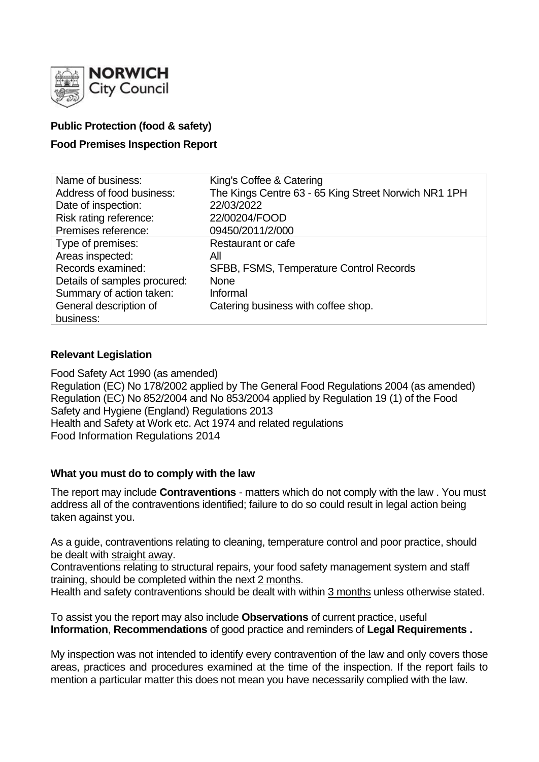

## **Public Protection (food & safety)**

## **Food Premises Inspection Report**

| Name of business:            | King's Coffee & Catering                             |
|------------------------------|------------------------------------------------------|
| Address of food business:    | The Kings Centre 63 - 65 King Street Norwich NR1 1PH |
| Date of inspection:          | 22/03/2022                                           |
| Risk rating reference:       | 22/00204/FOOD                                        |
| Premises reference:          | 09450/2011/2/000                                     |
| Type of premises:            | Restaurant or cafe                                   |
| Areas inspected:             | All                                                  |
| Records examined:            | SFBB, FSMS, Temperature Control Records              |
| Details of samples procured: | <b>None</b>                                          |
| Summary of action taken:     | Informal                                             |
| General description of       | Catering business with coffee shop.                  |
| business:                    |                                                      |

### **Relevant Legislation**

Food Safety Act 1990 (as amended) Regulation (EC) No 178/2002 applied by The General Food Regulations 2004 (as amended) Regulation (EC) No 852/2004 and No 853/2004 applied by Regulation 19 (1) of the Food Safety and Hygiene (England) Regulations 2013 Health and Safety at Work etc. Act 1974 and related regulations Food Information Regulations 2014

### **What you must do to comply with the law**

The report may include **Contraventions** - matters which do not comply with the law . You must address all of the contraventions identified; failure to do so could result in legal action being taken against you.

As a guide, contraventions relating to cleaning, temperature control and poor practice, should be dealt with straight away.

Contraventions relating to structural repairs, your food safety management system and staff training, should be completed within the next 2 months.

Health and safety contraventions should be dealt with within 3 months unless otherwise stated.

To assist you the report may also include **Observations** of current practice, useful **Information**, **Recommendations** of good practice and reminders of **Legal Requirements .**

My inspection was not intended to identify every contravention of the law and only covers those areas, practices and procedures examined at the time of the inspection. If the report fails to mention a particular matter this does not mean you have necessarily complied with the law.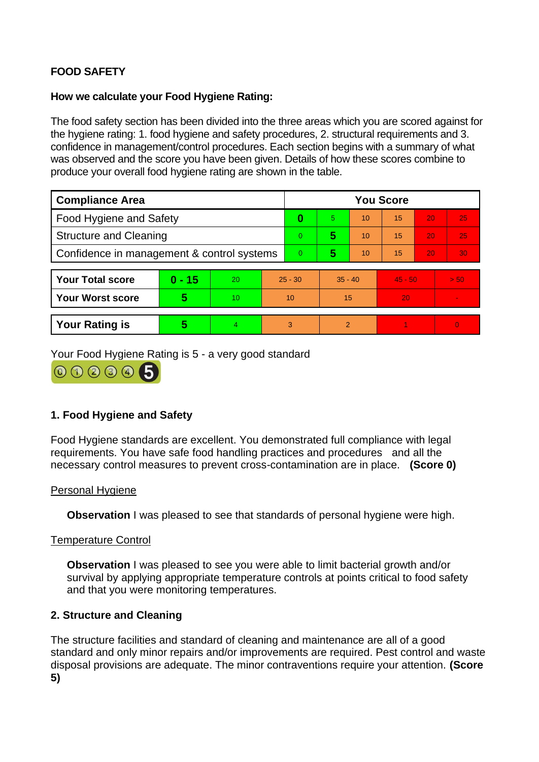# **FOOD SAFETY**

### **How we calculate your Food Hygiene Rating:**

The food safety section has been divided into the three areas which you are scored against for the hygiene rating: 1. food hygiene and safety procedures, 2. structural requirements and 3. confidence in management/control procedures. Each section begins with a summary of what was observed and the score you have been given. Details of how these scores combine to produce your overall food hygiene rating are shown in the table.

| <b>Compliance Area</b>                     |          |    |           | <b>You Score</b> |           |    |           |    |                |  |  |
|--------------------------------------------|----------|----|-----------|------------------|-----------|----|-----------|----|----------------|--|--|
| <b>Food Hygiene and Safety</b>             |          |    |           | 0                | 5         | 10 | 15        | 20 | 25             |  |  |
| <b>Structure and Cleaning</b>              |          |    |           | $\Omega$         | 5         | 10 | 15        | 20 | 25             |  |  |
| Confidence in management & control systems |          |    |           | $\Omega$         | 5         | 10 | 15        | 20 | 30             |  |  |
|                                            |          |    |           |                  |           |    |           |    |                |  |  |
| <b>Your Total score</b>                    | $0 - 15$ | 20 | $25 - 30$ |                  | $35 - 40$ |    | $45 - 50$ |    | > 50           |  |  |
| <b>Your Worst score</b>                    | 5        | 10 | 10        |                  | 15        |    | 20        |    | $\blacksquare$ |  |  |
|                                            |          |    |           |                  |           |    |           |    |                |  |  |
| <b>Your Rating is</b>                      | 5        | 4  | 3         |                  | 2         |    |           |    | $\overline{0}$ |  |  |

Your Food Hygiene Rating is 5 - a very good standard



## **1. Food Hygiene and Safety**

Food Hygiene standards are excellent. You demonstrated full compliance with legal requirements. You have safe food handling practices and procedures and all the necessary control measures to prevent cross-contamination are in place. **(Score 0)**

### Personal Hygiene

**Observation** I was pleased to see that standards of personal hygiene were high.

### Temperature Control

**Observation I** was pleased to see you were able to limit bacterial growth and/or survival by applying appropriate temperature controls at points critical to food safety and that you were monitoring temperatures.

## **2. Structure and Cleaning**

The structure facilities and standard of cleaning and maintenance are all of a good standard and only minor repairs and/or improvements are required. Pest control and waste disposal provisions are adequate. The minor contraventions require your attention. **(Score 5)**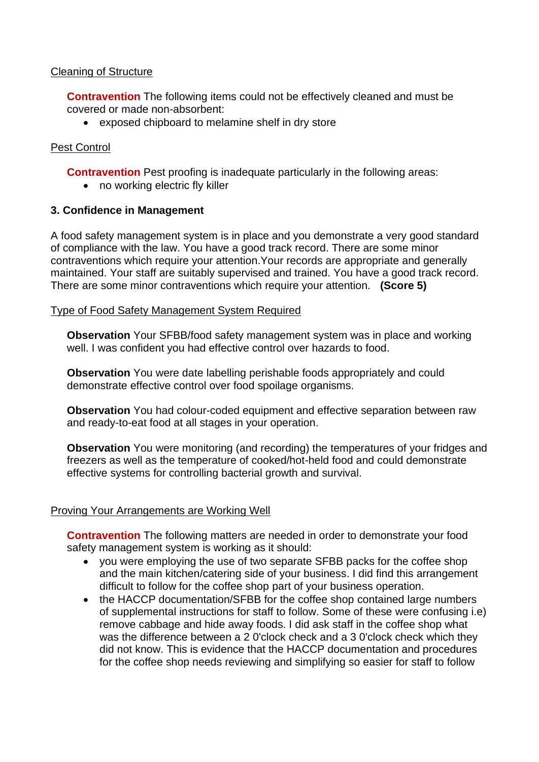### Cleaning of Structure

**Contravention** The following items could not be effectively cleaned and must be covered or made non-absorbent:

• exposed chipboard to melamine shelf in dry store

## Pest Control

**Contravention** Pest proofing is inadequate particularly in the following areas:

• no working electric fly killer

## **3. Confidence in Management**

A food safety management system is in place and you demonstrate a very good standard of compliance with the law. You have a good track record. There are some minor contraventions which require your attention.Your records are appropriate and generally maintained. Your staff are suitably supervised and trained. You have a good track record. There are some minor contraventions which require your attention. **(Score 5)**

### Type of Food Safety Management System Required

**Observation** Your SFBB/food safety management system was in place and working well. I was confident you had effective control over hazards to food.

**Observation** You were date labelling perishable foods appropriately and could demonstrate effective control over food spoilage organisms.

**Observation** You had colour-coded equipment and effective separation between raw and ready-to-eat food at all stages in your operation.

**Observation** You were monitoring (and recording) the temperatures of your fridges and freezers as well as the temperature of cooked/hot-held food and could demonstrate effective systems for controlling bacterial growth and survival.

## Proving Your Arrangements are Working Well

**Contravention** The following matters are needed in order to demonstrate your food safety management system is working as it should:

- you were employing the use of two separate SFBB packs for the coffee shop and the main kitchen/catering side of your business. I did find this arrangement difficult to follow for the coffee shop part of your business operation.
- the HACCP documentation/SFBB for the coffee shop contained large numbers of supplemental instructions for staff to follow. Some of these were confusing i.e) remove cabbage and hide away foods. I did ask staff in the coffee shop what was the difference between a 2 0'clock check and a 3 0'clock check which they did not know. This is evidence that the HACCP documentation and procedures for the coffee shop needs reviewing and simplifying so easier for staff to follow